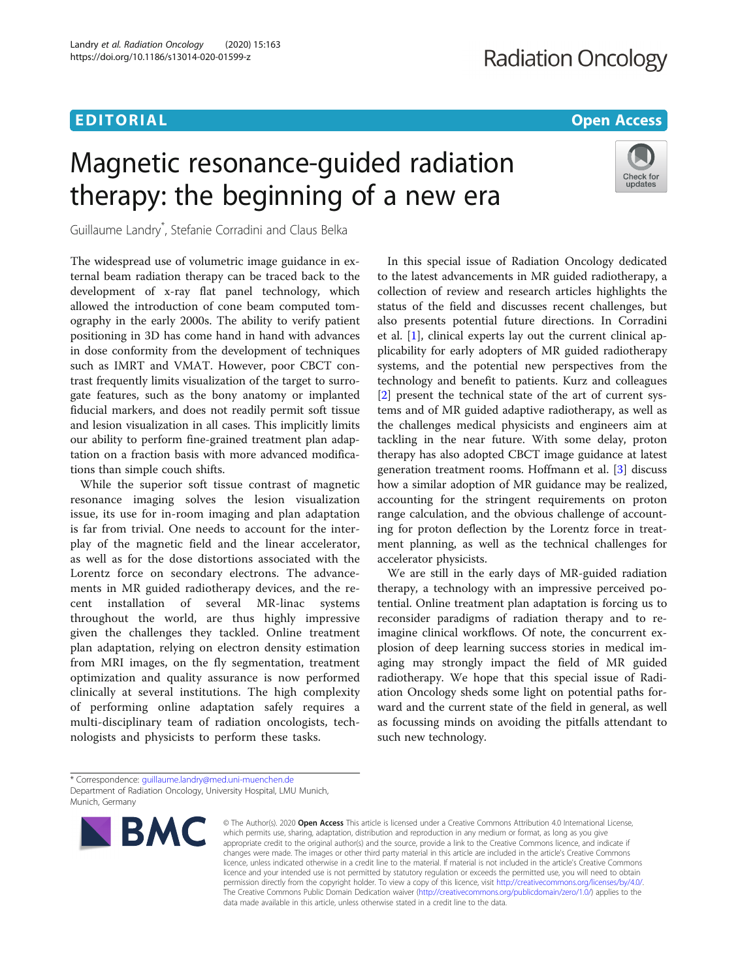## EDITORIAL AND INTERNATIONAL CONTRACT CONTRACT OF THE CONTRACT OF THE CONTRACT OF THE CONTRACT OF THE CONTRACT O

Check for updates

# Magnetic resonance-guided radiation therapy: the beginning of a new era

Guillaume Landry\* , Stefanie Corradini and Claus Belka

The widespread use of volumetric image guidance in external beam radiation therapy can be traced back to the development of x-ray flat panel technology, which allowed the introduction of cone beam computed tomography in the early 2000s. The ability to verify patient positioning in 3D has come hand in hand with advances in dose conformity from the development of techniques such as IMRT and VMAT. However, poor CBCT contrast frequently limits visualization of the target to surrogate features, such as the bony anatomy or implanted fiducial markers, and does not readily permit soft tissue and lesion visualization in all cases. This implicitly limits our ability to perform fine-grained treatment plan adaptation on a fraction basis with more advanced modifications than simple couch shifts.

While the superior soft tissue contrast of magnetic resonance imaging solves the lesion visualization issue, its use for in-room imaging and plan adaptation is far from trivial. One needs to account for the interplay of the magnetic field and the linear accelerator, as well as for the dose distortions associated with the Lorentz force on secondary electrons. The advancements in MR guided radiotherapy devices, and the recent installation of several MR-linac systems throughout the world, are thus highly impressive given the challenges they tackled. Online treatment plan adaptation, relying on electron density estimation from MRI images, on the fly segmentation, treatment optimization and quality assurance is now performed clinically at several institutions. The high complexity of performing online adaptation safely requires a multi-disciplinary team of radiation oncologists, technologists and physicists to perform these tasks.

In this special issue of Radiation Oncology dedicated to the latest advancements in MR guided radiotherapy, a collection of review and research articles highlights the status of the field and discusses recent challenges, but also presents potential future directions. In Corradini et al. [[1\]](#page-1-0), clinical experts lay out the current clinical applicability for early adopters of MR guided radiotherapy systems, and the potential new perspectives from the technology and benefit to patients. Kurz and colleagues [[2\]](#page-1-0) present the technical state of the art of current systems and of MR guided adaptive radiotherapy, as well as the challenges medical physicists and engineers aim at tackling in the near future. With some delay, proton therapy has also adopted CBCT image guidance at latest generation treatment rooms. Hoffmann et al. [\[3](#page-1-0)] discuss how a similar adoption of MR guidance may be realized, accounting for the stringent requirements on proton range calculation, and the obvious challenge of accounting for proton deflection by the Lorentz force in treatment planning, as well as the technical challenges for accelerator physicists.

We are still in the early days of MR-guided radiation therapy, a technology with an impressive perceived potential. Online treatment plan adaptation is forcing us to reconsider paradigms of radiation therapy and to reimagine clinical workflows. Of note, the concurrent explosion of deep learning success stories in medical imaging may strongly impact the field of MR guided radiotherapy. We hope that this special issue of Radiation Oncology sheds some light on potential paths forward and the current state of the field in general, as well as focussing minds on avoiding the pitfalls attendant to such new technology.

<sup>\*</sup> Correspondence: [guillaume.landry@med.uni-muenchen.de](mailto:guillaume.landry@med.uni-muenchen.de) Department of Radiation Oncology, University Hospital, LMU Munich, Munich, Germany



© The Author(s), 2020 **Open Access** This article is licensed under a Creative Commons Attribution 4.0 International License, which permits use, sharing, adaptation, distribution and reproduction in any medium or format, as long as you give appropriate credit to the original author(s) and the source, provide a link to the Creative Commons licence, and indicate if changes were made. The images or other third party material in this article are included in the article's Creative Commons licence, unless indicated otherwise in a credit line to the material. If material is not included in the article's Creative Commons licence and your intended use is not permitted by statutory regulation or exceeds the permitted use, you will need to obtain permission directly from the copyright holder. To view a copy of this licence, visit [http://creativecommons.org/licenses/by/4.0/.](http://creativecommons.org/licenses/by/4.0/) The Creative Commons Public Domain Dedication waiver [\(http://creativecommons.org/publicdomain/zero/1.0/](http://creativecommons.org/publicdomain/zero/1.0/)) applies to the data made available in this article, unless otherwise stated in a credit line to the data.